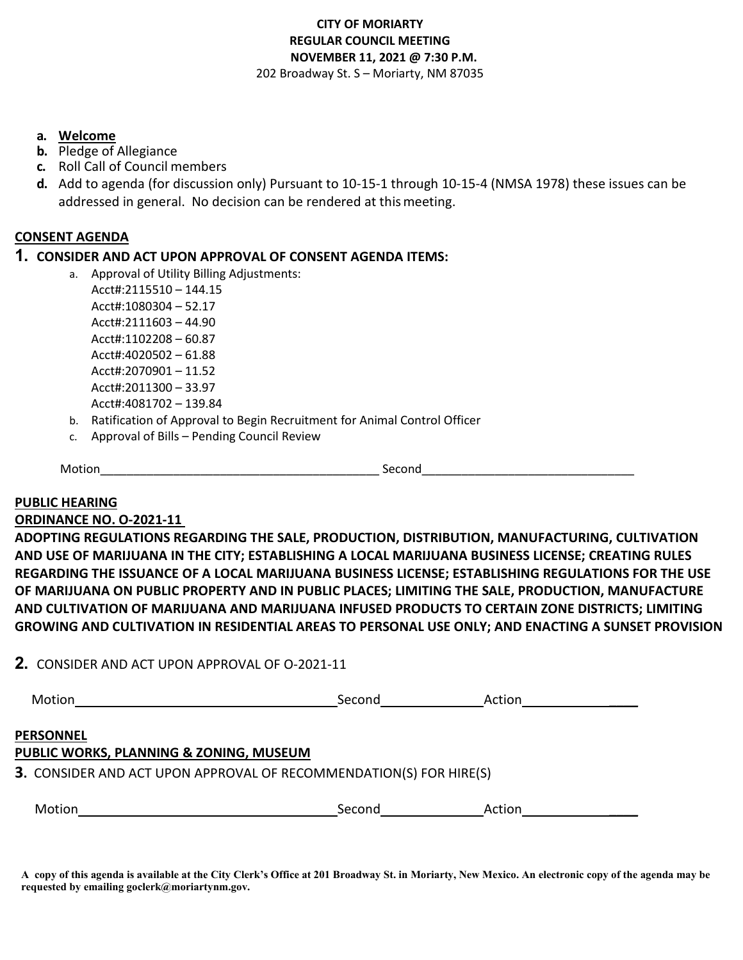#### **CITY OF MORIARTY REGULAR COUNCIL MEETING NOVEMBER 11, 2021 @ 7:30 P.M.**  202 Broadway St. S – Moriarty, NM 87035

#### **a. Welcome**

- **b.** Pledge of Allegiance
- **c.** Roll Call of Council members
- **d.** Add to agenda (for discussion only) Pursuant to 10-15-1 through 10-15-4 (NMSA 1978) these issues can be addressed in general. No decision can be rendered at thismeeting.

#### **CONSENT AGENDA**

### **1. CONSIDER AND ACT UPON APPROVAL OF CONSENT AGENDA ITEMS:**

- a. Approval of Utility Billing Adjustments: Acct#:2115510 – 144.15 Acct#:1080304 – 52.17 Acct#:2111603 – 44.90 Acct#:1102208 – 60.87 Acct#:4020502 – 61.88 Acct#:2070901 – 11.52 Acct#:2011300 – 33.97 Acct#:4081702 – 139.84
- b. Ratification of Approval to Begin Recruitment for Animal Control Officer
- c. Approval of Bills Pending Council Review

Motion\_\_\_\_\_\_\_\_\_\_\_\_\_\_\_\_\_\_\_\_\_\_\_\_\_\_\_\_\_\_\_\_\_\_\_\_\_\_\_\_\_\_ Second\_\_\_\_\_\_\_\_\_\_\_\_\_\_\_\_\_\_\_\_\_\_\_\_\_\_\_\_\_\_\_\_

#### **PUBLIC HEARING**

#### **ORDINANCE NO. O-2021-11**

**ADOPTING REGULATIONS REGARDING THE SALE, PRODUCTION, DISTRIBUTION, MANUFACTURING, CULTIVATION AND USE OF MARIJUANA IN THE CITY; ESTABLISHING A LOCAL MARIJUANA BUSINESS LICENSE; CREATING RULES REGARDING THE ISSUANCE OF A LOCAL MARIJUANA BUSINESS LICENSE; ESTABLISHING REGULATIONS FOR THE USE OF MARIJUANA ON PUBLIC PROPERTY AND IN PUBLIC PLACES; LIMITING THE SALE, PRODUCTION, MANUFACTURE AND CULTIVATION OF MARIJUANA AND MARIJUANA INFUSED PRODUCTS TO CERTAIN ZONE DISTRICTS; LIMITING GROWING AND CULTIVATION IN RESIDENTIAL AREAS TO PERSONAL USE ONLY; AND ENACTING A SUNSET PROVISION**

#### **2.** CONSIDER AND ACT UPON APPROVAL OF O-2021-11

| Motion                                                                                                                            | Second | Action |  |
|-----------------------------------------------------------------------------------------------------------------------------------|--------|--------|--|
| PERSONNEL<br>PUBLIC WORKS, PLANNING & ZONING, MUSEUM<br><b>3.</b> CONSIDER AND ACT UPON APPROVAL OF RECOMMENDATION(S) FOR HIRE(S) |        |        |  |
| Motion                                                                                                                            | Second | Action |  |

**A copy of this agenda is available at the City Clerk's Office at 201 Broadway St. in Moriarty, New Mexico. An electronic copy of the agenda may be requested by emailing goclerk@moriartynm.gov.**